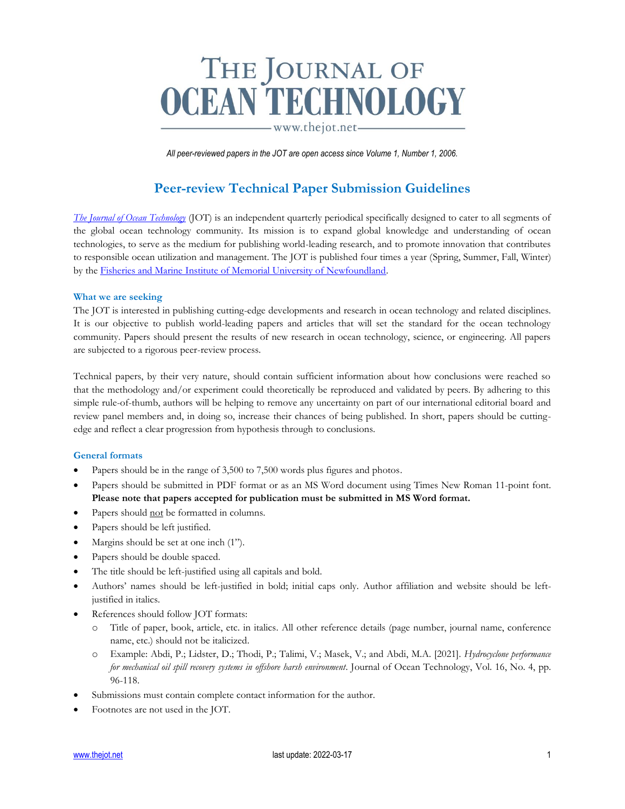## THE JOURNAL OF<br>OCEAN TECHNOLOGY

www.thejot.net-

*All peer-reviewed papers in the JOT are open access since Volume 1, Number 1, 2006.*

### **Peer-review Technical Paper Submission Guidelines**

*[The Journal of Ocean Technology](http://www.thejot.net/)* (JOT) is an independent quarterly periodical specifically designed to cater to all segments of the global ocean technology community. Its mission is to expand global knowledge and understanding of ocean technologies, to serve as the medium for publishing world-leading research, and to promote innovation that contributes to responsible ocean utilization and management. The JOT is published four times a year (Spring, Summer, Fall, Winter) by the [Fisheries and Marine Institute of Memorial University of Newfoundland.](https://www.mi.mun.ca/)

### **What we are seeking**

The JOT is interested in publishing cutting-edge developments and research in ocean technology and related disciplines. It is our objective to publish world-leading papers and articles that will set the standard for the ocean technology community. Papers should present the results of new research in ocean technology, science, or engineering. All papers are subjected to a rigorous peer-review process.

Technical papers, by their very nature, should contain sufficient information about how conclusions were reached so that the methodology and/or experiment could theoretically be reproduced and validated by peers. By adhering to this simple rule-of-thumb, authors will be helping to remove any uncertainty on part of our international editorial board and review panel members and, in doing so, increase their chances of being published. In short, papers should be cuttingedge and reflect a clear progression from hypothesis through to conclusions.

### **General formats**

- Papers should be in the range of 3,500 to 7,500 words plus figures and photos.
- Papers should be submitted in PDF format or as an MS Word document using Times New Roman 11-point font. **Please note that papers accepted for publication must be submitted in MS Word format.**
- Papers should not be formatted in columns.
- Papers should be left justified.
- Margins should be set at one inch (1").
- Papers should be double spaced.
- The title should be left-justified using all capitals and bold.
- Authors' names should be left-justified in bold; initial caps only. Author affiliation and website should be leftjustified in italics.
- References should follow JOT formats:
	- Title of paper, book, article, etc. in italics. All other reference details (page number, journal name, conference name, etc.) should not be italicized.
	- o Example: Abdi, P.; Lidster, D.; Thodi, P.; Talimi, V.; Masek, V.; and Abdi, M.A. [2021]. *Hydrocyclone performance for mechanical oil spill recovery systems in offshore harsh environment*. Journal of Ocean Technology, Vol. 16, No. 4, pp. 96-118.
- Submissions must contain complete contact information for the author.
- Footnotes are not used in the JOT.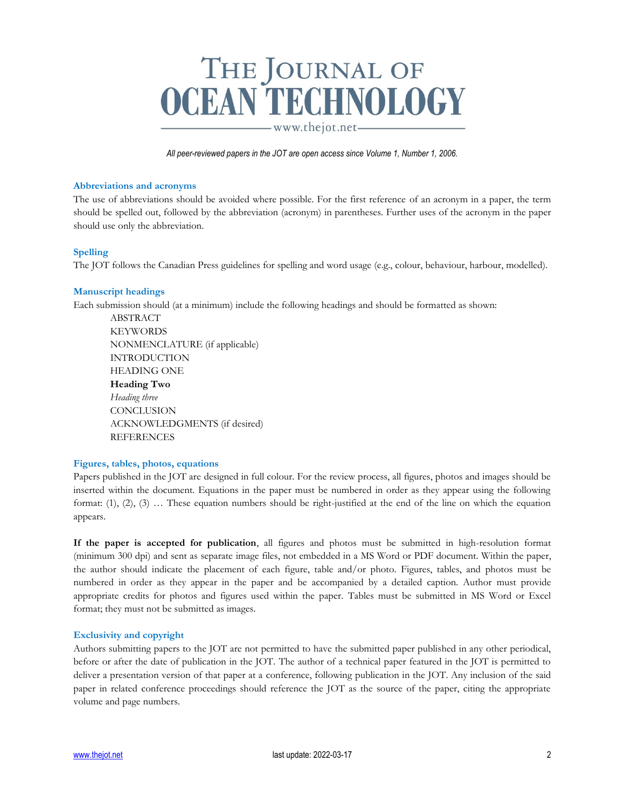# THE JOURNAL OF<br>CEAN TECHNOLOGY

www.thejot.net-

*All peer-reviewed papers in the JOT are open access since Volume 1, Number 1, 2006.*

### **Abbreviations and acronyms**

The use of abbreviations should be avoided where possible. For the first reference of an acronym in a paper, the term should be spelled out, followed by the abbreviation (acronym) in parentheses. Further uses of the acronym in the paper should use only the abbreviation.

### **Spelling**

The JOT follows the Canadian Press guidelines for spelling and word usage (e.g., colour, behaviour, harbour, modelled).

### **Manuscript headings**

Each submission should (at a minimum) include the following headings and should be formatted as shown:

ABSTRACT **KEYWORDS** NONMENCLATURE (if applicable) INTRODUCTION HEADING ONE **Heading Two** *Heading three* **CONCLUSION** ACKNOWLEDGMENTS (if desired) REFERENCES

### **Figures, tables, photos, equations**

Papers published in the JOT are designed in full colour. For the review process, all figures, photos and images should be inserted within the document. Equations in the paper must be numbered in order as they appear using the following format: (1), (2), (3) … These equation numbers should be right-justified at the end of the line on which the equation appears.

**If the paper is accepted for publication**, all figures and photos must be submitted in high-resolution format (minimum 300 dpi) and sent as separate image files, not embedded in a MS Word or PDF document. Within the paper, the author should indicate the placement of each figure, table and/or photo. Figures, tables, and photos must be numbered in order as they appear in the paper and be accompanied by a detailed caption. Author must provide appropriate credits for photos and figures used within the paper. Tables must be submitted in MS Word or Excel format; they must not be submitted as images.

### **Exclusivity and copyright**

Authors submitting papers to the JOT are not permitted to have the submitted paper published in any other periodical, before or after the date of publication in the JOT. The author of a technical paper featured in the JOT is permitted to deliver a presentation version of that paper at a conference, following publication in the JOT. Any inclusion of the said paper in related conference proceedings should reference the JOT as the source of the paper, citing the appropriate volume and page numbers.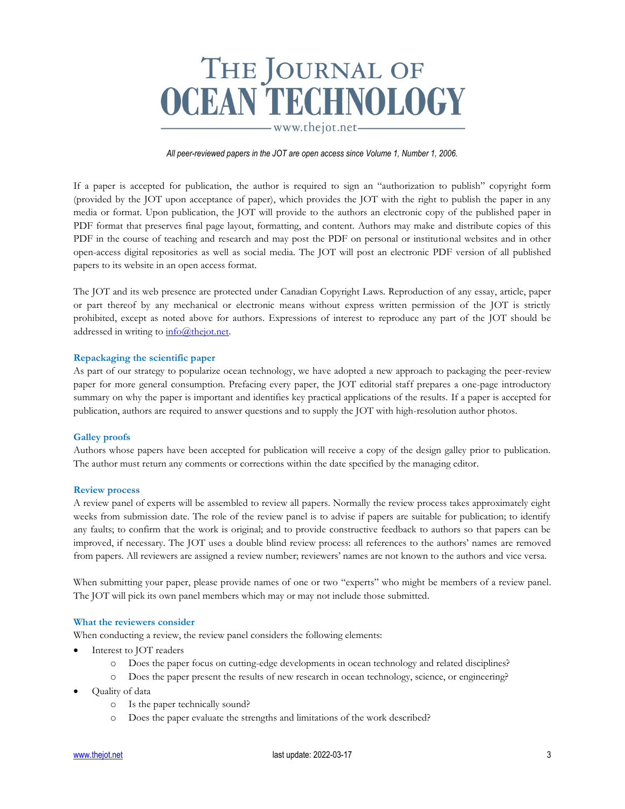### THE JOURNAL OF<br>CEAN TECHNOLOGY

www.thejot.net-

*All peer-reviewed papers in the JOT are open access since Volume 1, Number 1, 2006.*

If a paper is accepted for publication, the author is required to sign an "authorization to publish" copyright form (provided by the JOT upon acceptance of paper), which provides the JOT with the right to publish the paper in any media or format. Upon publication, the JOT will provide to the authors an electronic copy of the published paper in PDF format that preserves final page layout, formatting, and content. Authors may make and distribute copies of this PDF in the course of teaching and research and may post the PDF on personal or institutional websites and in other open-access digital repositories as well as social media. The JOT will post an electronic PDF version of all published papers to its website in an open access format.

The JOT and its web presence are protected under Canadian Copyright Laws. Reproduction of any essay, article, paper or part thereof by any mechanical or electronic means without express written permission of the JOT is strictly prohibited, except as noted above for authors. Expressions of interest to reproduce any part of the JOT should be addressed in writing to info@thejot.net.

### **Repackaging the scientific paper**

As part of our strategy to popularize ocean technology, we have adopted a new approach to packaging the peer-review paper for more general consumption. Prefacing every paper, the JOT editorial staff prepares a one-page introductory summary on why the paper is important and identifies key practical applications of the results. If a paper is accepted for publication, authors are required to answer questions and to supply the JOT with high-resolution author photos.

### **Galley proofs**

Authors whose papers have been accepted for publication will receive a copy of the design galley prior to publication. The author must return any comments or corrections within the date specified by the managing editor.

### **Review process**

A review panel of experts will be assembled to review all papers. Normally the review process takes approximately eight weeks from submission date. The role of the review panel is to advise if papers are suitable for publication; to identify any faults; to confirm that the work is original; and to provide constructive feedback to authors so that papers can be improved, if necessary. The JOT uses a double blind review process: all references to the authors' names are removed from papers. All reviewers are assigned a review number; reviewers' names are not known to the authors and vice versa.

When submitting your paper, please provide names of one or two "experts" who might be members of a review panel. The JOT will pick its own panel members which may or may not include those submitted.

### **What the reviewers consider**

When conducting a review, the review panel considers the following elements:

- Interest to JOT readers
	- o Does the paper focus on cutting-edge developments in ocean technology and related disciplines?
	- o Does the paper present the results of new research in ocean technology, science, or engineering?
- Quality of data
	- o Is the paper technically sound?
	- o Does the paper evaluate the strengths and limitations of the work described?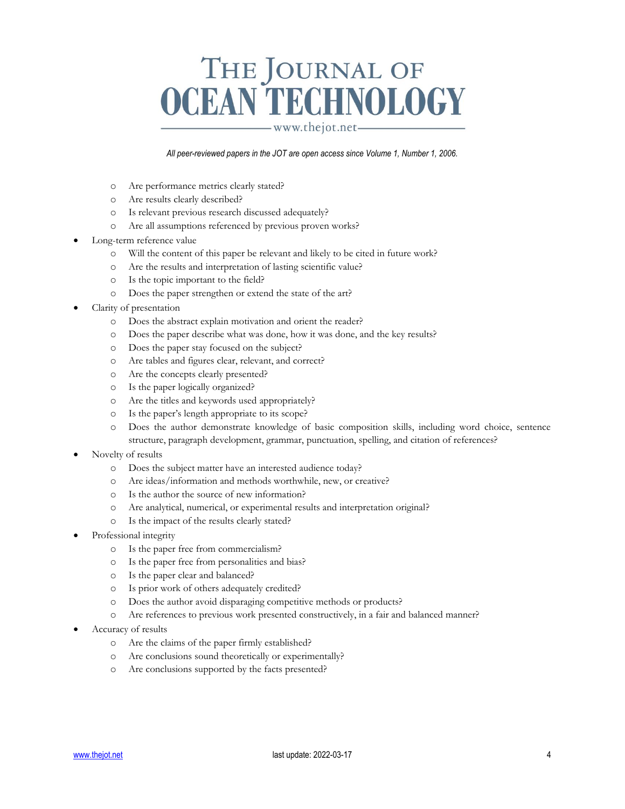# THE JOURNAL OF<br>CEAN TECHNOLOGY

www.thejot.net-

*All peer-reviewed papers in the JOT are open access since Volume 1, Number 1, 2006.*

- o Are performance metrics clearly stated?
- o Are results clearly described?
- o Is relevant previous research discussed adequately?
- o Are all assumptions referenced by previous proven works?
- Long-term reference value
	- o Will the content of this paper be relevant and likely to be cited in future work?
	- o Are the results and interpretation of lasting scientific value?
	- o Is the topic important to the field?
	- o Does the paper strengthen or extend the state of the art?
- Clarity of presentation
	- o Does the abstract explain motivation and orient the reader?
	- o Does the paper describe what was done, how it was done, and the key results?
	- o Does the paper stay focused on the subject?
	- o Are tables and figures clear, relevant, and correct?
	- o Are the concepts clearly presented?
	- o Is the paper logically organized?
	- o Are the titles and keywords used appropriately?
	- o Is the paper's length appropriate to its scope?
	- o Does the author demonstrate knowledge of basic composition skills, including word choice, sentence structure, paragraph development, grammar, punctuation, spelling, and citation of references?
- Novelty of results
	- o Does the subject matter have an interested audience today?
	- o Are ideas/information and methods worthwhile, new, or creative?
	- o Is the author the source of new information?
	- o Are analytical, numerical, or experimental results and interpretation original?
	- o Is the impact of the results clearly stated?
- Professional integrity
	- o Is the paper free from commercialism?
	- o Is the paper free from personalities and bias?
	- o Is the paper clear and balanced?
	- o Is prior work of others adequately credited?
	- o Does the author avoid disparaging competitive methods or products?
	- o Are references to previous work presented constructively, in a fair and balanced manner?
- Accuracy of results
	- o Are the claims of the paper firmly established?
	- o Are conclusions sound theoretically or experimentally?
	- o Are conclusions supported by the facts presented?